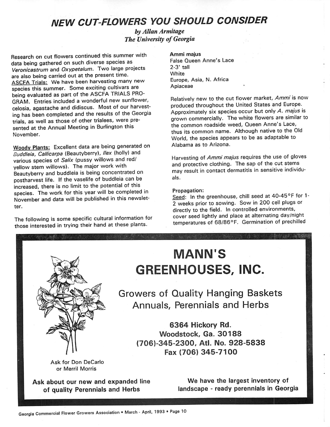# **NEW CUT-FLOWERS YOU SHOULD CONSIDER**

**byAllan Armitage The University of Georgia** 

Research on cut flowers continued this summer with data being gathered on such diverse species as **Veronicastrum** and **Oxypetalum.** Two large projects are also being carried out at the present time. ASCFA Trials: We have been harvesting many new species this summer. Some exciting cultivars are being evaluated as part of the ASCFA TRIALS PRO GRAM. Entries included a wonderful new sunflower, celosia, agastache and didiscus. Most of our harvest ing has been completed and the results of the Georgia trials, as well as those of other trialees, were pre sented at the Annual Meeting in Burlington this November.

*Woodv Plants:* Excellent data are being generated on **Buddleia, Callicarpa** (Beautyberry), **Ilex** (holly) and various species of **Salix** (pussy willows and red/ yellow stem willows). The major work with Beautyberry and buddleia is being concentrated on postharvest life. If the vaselife of buddleia can be increased, there is no limit to the potential of this species. The work for this year will be completed in November and data will be published in this newslet ter.

The following is some specific cultural information for those interested in trying their hand at these plants.

*Ammi majus*

False Queen Anne's Lace 2-3' tall White Europe, Asia, N. Africa Apiaceae

Relatively new to the cut flower market, **Ammi**is now produced throughout the United States and Europe. Approximately six species occur but only**A. majus** is grown commercially. The white flowers are similar to the common roadside weed, Queen Anne's Lace, thus its common name. Although native to the Old World, the species appears to be as adaptable to Alabama as to Arizona.

Harvesting of **Ammi majus** requires the use of gloves and protective clothing. The sap of the cut stems may result in contact dermatitis in sensitive individu als.

#### Propagation:

Seed: In the greenhouse, chill seed at 40-45°F for 1-2 weeks prior to sowing. Sow in 200 cell plugs or directly to the field. In controlled environments, cover seed lightly and place at alternating day/night temperatures of 68/86°F. Germination of prechilled



Ask for Don DeCarlo or Merril Morris

Ask about our new and expanded line of quality Perennials and Herbs

*MANN'S GREENHOUSES, INC.*

Growers of Quality Hanging Baskets Annuals, Perennials and Herbs

> *6364 Hickory Rd. Woodstock, Ga. 30188 (706)345-2300, Atl. No. 928-5838 Fax (706) 345-7100*

> > We have the largest inventory of landscape - ready perennials in Georgia